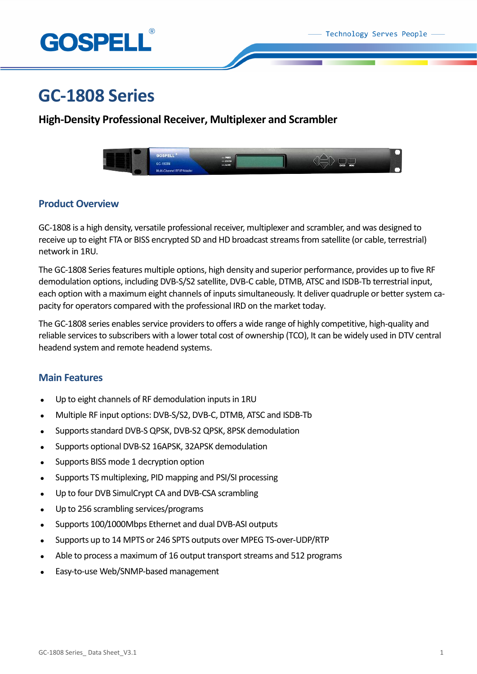

# **GC-1808 Series**

## **High-Density Professional Receiver, Multiplexer and Scrambler**



## **Product Overview**

GC-1808 is a high density, versatile professional receiver, multiplexer and scrambler, and was designed to receive up to eight FTA or BISS encrypted SD and HD broadcast streams from satellite (or cable, terrestrial) network in 1RU.

The GC-1808 Series features multiple options, high density and superior performance, provides up to five RF demodulation options, including DVB-S/S2 satellite, DVB-C cable, DTMB, ATSC and ISDB-Tb terrestrial input, each option with a maximum eight channels of inputs simultaneously. It deliver quadruple or better system capacity for operators compared with the professional IRD on the market today.

The GC-1808 series enables service providers to offers a wide range of highly competitive, high-quality and reliable services to subscribers with a lower total cost of ownership (TCO), It can be widely used in DTV central headend system and remote headend systems.

## **Main Features**

- Up to eight channels of RF demodulation inputs in 1RU
- Multiple RF input options: DVB-S/S2, DVB-C, DTMB, ATSC and ISDB-Tb
- Supports standard DVB-S QPSK, DVB-S2 QPSK, 8PSK demodulation
- Supports optional DVB-S2 16APSK, 32APSK demodulation
- Supports BISS mode 1 decryption option
- Supports TS multiplexing, PID mapping and PSI/SI processing
- Up to four DVB SimulCrypt CA and DVB-CSA scrambling
- Up to 256 scrambling services/programs
- Supports 100/1000Mbps Ethernet and dual DVB-ASI outputs
- Supports up to 14 MPTS or 246 SPTS outputs over MPEG TS-over-UDP/RTP
- Able to process a maximum of 16 output transport streams and 512 programs
- Easy-to-use Web/SNMP-based management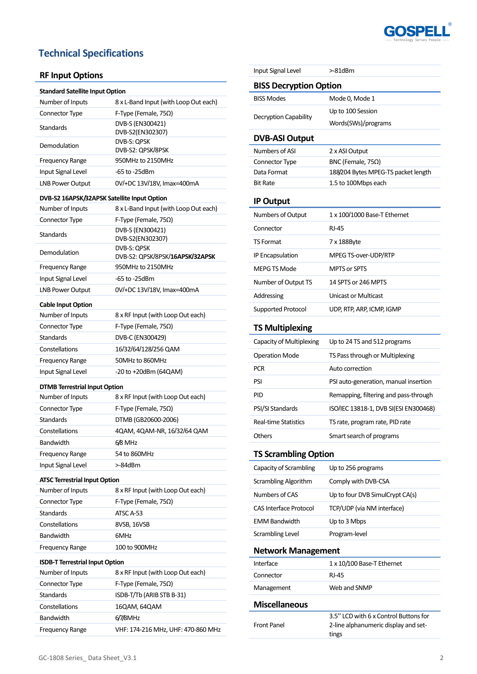

## **Technical Specifications**

## **RF Input Options**

| Number of Inputs        | 8 x L-Band Input (with Loop Out each) |
|-------------------------|---------------------------------------|
| <b>Connector Type</b>   | F-Type (Female, $75\Omega$ )          |
| <b>Standards</b>        | DVB-S (EN300421)<br>DVB-S2(EN302307)  |
| Demodulation            | DVB-S: QPSK<br>DVB-S2: QPSK/8PSK      |
| <b>Frequency Range</b>  | 950MHz to 2150MHz                     |
| Input Signal Level      | -65 to -25dBm                         |
| <b>LNB Power Output</b> | 0V/+DC 13V/18V, Imax=400mA            |

### DVB-S2 16APSK/32APSK Satellite Input Option

| Number of Inputs       | 8 x L-Band Input (with Loop Out each)          |
|------------------------|------------------------------------------------|
| <b>Connector Type</b>  | F-Type (Female, $75\Omega$ )                   |
| <b>Standards</b>       | DVB-S (EN300421)<br>DVB-S2(EN302307)           |
| Demodulation           | DVB-S: QPSK<br>DVB-S2: QPSK/8PSK/16APSK/32APSK |
| <b>Frequency Range</b> | 950MHz to 2150MHz                              |
| Input Signal Level     | -65 to -25dBm                                  |
| LNB Power Output       | 0V/+DC 13V/18V, Imax=400mA                     |

### **Cable Input Option**

| Number of Inputs       | 8 x RF Input (with Loop Out each) |
|------------------------|-----------------------------------|
| Connector Type         | F-Type (Female, $75\Omega$ )      |
| Standards              | DVB-C (EN300429)                  |
| Constellations         | 16/32/64/128/256 QAM              |
| <b>Frequency Range</b> | 50MHz to 860MHz                   |
| Input Signal Level     | $-20$ to $+20$ dBm (64QAM)        |

#### **DTMB Terrestrial Input Option**

| Number of Inputs       | 8 x RF Input (with Loop Out each) |
|------------------------|-----------------------------------|
| Connector Type         | F-Type (Female, 75Ω)              |
| Standards              | DTMB (GB20600-2006)               |
| Constellations         | 4QAM, 4QAM-NR, 16/32/64 QAM       |
| <b>Bandwidth</b>       | 6/8 MHz                           |
| <b>Frequency Range</b> | 54 to 860MHz                      |
| Input Signal Level     | >-84dBm                           |

#### **ATSC Terrestrial Input Option**

| Number of Inputs       | 8 x RF Input (with Loop Out each) |
|------------------------|-----------------------------------|
| Connector Type         | F-Type (Female, $75\Omega$ )      |
| Standards              | ATSC A-53                         |
| Constellations         | 8VSB, 16VSB                       |
| <b>Bandwidth</b>       | 6MHz                              |
| <b>Frequency Range</b> | 100 to 900MHz                     |

### **ISDB-T Terrestrial InputOption**

| Number of Inputs       | 8 x RF Input (with Loop Out each)  |
|------------------------|------------------------------------|
| Connector Type         | F-Type (Female, $75\Omega$ )       |
| <b>Standards</b>       | ISDB-T/Tb (ARIB STB B-31)          |
| Constellations         | 16QAM, 64QAM                       |
| <b>Bandwidth</b>       | 6/7/8MHz                           |
| <b>Frequency Range</b> | VHF: 174-216 MHz, UHF: 470-860 MHz |

| Input Signal Level            | >-81dBm                                                                                |  |
|-------------------------------|----------------------------------------------------------------------------------------|--|
| <b>BISS Decryption Option</b> |                                                                                        |  |
| <b>BISS Modes</b>             | Mode 0, Mode 1                                                                         |  |
|                               | Up to 100 Session                                                                      |  |
| Decryption Capability         | Words(SWs)/programs                                                                    |  |
| <b>DVB-ASI Output</b>         |                                                                                        |  |
| Numbers of ASI                | 2 x ASI Output                                                                         |  |
| Connector Type                | BNC (Female, 75Ω)                                                                      |  |
| Data Format                   | 188/204 Bytes MPEG-TS packet length                                                    |  |
| <b>Bit Rate</b>               | 1.5 to 100Mbps each                                                                    |  |
| <b>IP Output</b>              |                                                                                        |  |
| Numbers of Output             | 1 x 100/1000 Base-T Ethernet                                                           |  |
| Connector                     | <b>RJ-45</b>                                                                           |  |
| TS Format                     | 7 x 188Byte                                                                            |  |
| <b>IP Encapsulation</b>       | MPEG TS-over-UDP/RTP                                                                   |  |
| <b>MEPG TS Mode</b>           | <b>MPTS or SPTS</b>                                                                    |  |
| Number of Output TS           | 14 SPTS or 246 MPTS                                                                    |  |
| Addressing                    | Unicast or Multicast                                                                   |  |
| Supported Protocol            | UDP, RTP, ARP, ICMP, IGMP                                                              |  |
| <b>TS Multiplexing</b>        |                                                                                        |  |
| Capacity of Multiplexing      | Up to 24 TS and 512 programs                                                           |  |
| <b>Operation Mode</b>         | TS Pass through or Multiplexing                                                        |  |
| <b>PCR</b>                    | Auto correction                                                                        |  |
| PSI                           | PSI auto-generation, manual insertion                                                  |  |
| PID                           | Remapping, filtering and pass-through                                                  |  |
| PSI/SI Standards              | ISO/IEC 13818-1, DVB SI(ESI EN300468)                                                  |  |
| Real-time Statistics          | TS rate, program rate, PID rate                                                        |  |
| Others                        | Smart search of programs                                                               |  |
| <b>TS Scrambling Option</b>   |                                                                                        |  |
| Capacity of Scrambling        | Up to 256 programs                                                                     |  |
| <b>Scrambling Algorithm</b>   | Comply with DVB-CSA                                                                    |  |
| <b>Numbers of CAS</b>         | Up to four DVB SimulCrypt CA(s)                                                        |  |
| <b>CAS Interface Protocol</b> | TCP/UDP (via NM interface)                                                             |  |
| <b>EMM Bandwidth</b>          | Up to 3 Mbps                                                                           |  |
| Scrambling Level              | Program-level                                                                          |  |
| <b>Network Management</b>     |                                                                                        |  |
| Interface                     | 1 x 10/100 Base-T Ethernet                                                             |  |
| Connector                     | RJ-45                                                                                  |  |
| Management                    | Web and SNMP                                                                           |  |
| <b>Miscellaneous</b>          |                                                                                        |  |
| Front Panel                   | 3.5" LCD with 6 x Control Buttons for<br>2-line alphanumeric display and set-<br>tings |  |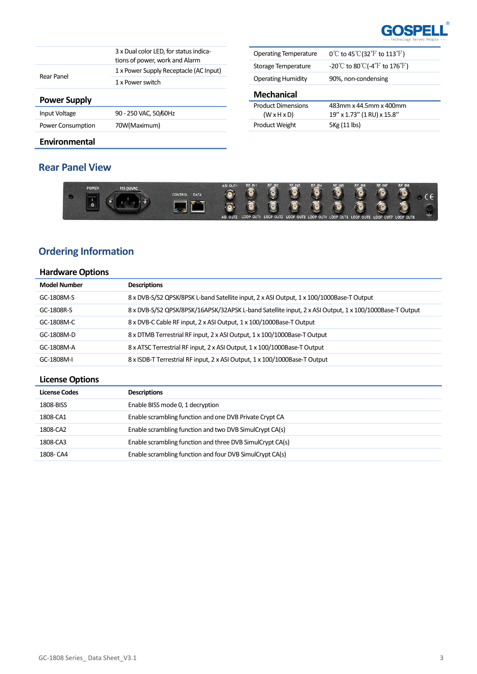

|                     | 3 x Dual color LED, for status indica-<br>tions of power, work and Alarm |
|---------------------|--------------------------------------------------------------------------|
| Rear Panel          | 1 x Power Supply Receptacle (AC Input)                                   |
|                     | 1 x Power switch                                                         |
| <b>Power Supply</b> |                                                                          |
| Input Voltage       | 90 - 250 VAC, 50/60Hz                                                    |

| <b>Operating Temperature</b>                         | $0^{\circ}$ to 45 °C (32 °F to 113 °F)                                  |
|------------------------------------------------------|-------------------------------------------------------------------------|
| Storage Temperature                                  | $-20^{\circ}$ C to 80 $^{\circ}$ C(-4 $^{\circ}$ F to 176 $^{\circ}$ F) |
| <b>Operating Humidity</b>                            | 90%, non-condensing                                                     |
|                                                      |                                                                         |
| <b>Mechanical</b>                                    |                                                                         |
| <b>Product Dimensions</b><br>$(W \times H \times D)$ | 483mm x 44.5mm x 400mm<br>19" x 1.73" (1 RU) x 15.8"                    |
| <b>Product Weight</b>                                | 5Kg (11 lbs)                                                            |

### **Environmental**

## **Rear Panel View**

Power Consumption 70W(Maximum)



## **Ordering Information**

## **Hardware Options**

| <b>Model Number</b> | <b>Descriptions</b>                                                                                    |
|---------------------|--------------------------------------------------------------------------------------------------------|
| GC-1808M-S          | 8 x DVB-S/S2 QPSK/8PSK L-band Satellite input, 2 x ASI Output, 1 x 100/1000Base-T Output               |
| GC-1808R-S          | 8 x DVB-S/S2 QPSK/8PSK/16APSK/32APSK L-band Satellite input, 2 x ASI Output, 1 x 100/1000Base-T Output |
| GC-1808M-C          | 8 x DVB-C Cable RF input, 2 x ASI Output, 1 x 100/1000Base-T Output                                    |
| GC-1808M-D          | 8 x DTMB Terrestrial RF input, 2 x ASI Output, 1 x 100/1000Base-T Output                               |
| GC-1808M-A          | 8 x ATSC Terrestrial RF input, 2 x ASI Output, 1 x 100/1000Base-T Output                               |
| GC-1808M-I          | 8 x ISDB-T Terrestrial RF input, 2 x ASI Output, 1 x 100/1000Base-T Output                             |

## **License Options**

| <b>License Codes</b> | <b>Descriptions</b>                                       |
|----------------------|-----------------------------------------------------------|
| 1808-BISS            | Enable BISS mode 0, 1 decryption                          |
| 1808-CA1             | Enable scrambling function and one DVB Private Crypt CA   |
| 1808-CA2             | Enable scrambling function and two DVB SimulCrypt CA(s)   |
| 1808-CA3             | Enable scrambling function and three DVB SimulCrypt CA(s) |
| 1808- CA4            | Enable scrambling function and four DVB SimulCrypt CA(s)  |